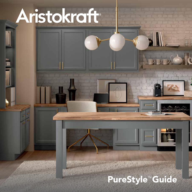# Aristokraft

## PureStyle<sup>M</sup> Guide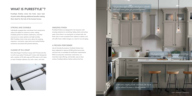#### STRONG AND DURABLE

Individually wrapped door and drawer front components reduce the ability for moisture to enter, making PureStyle perfect for kitchens, bathrooms, and other areas prone to water splashes and high humidity. With PureStyle, there is less worry about the warping, expansion, contraction, open joints and cracked finishes sometimes associated with painted cabinetry.

#### CLEANS UP IN A SNAP

Dirty little fingers? Avid (but messy) chef? Friends who like to craft at your place? Family pet? A clean cloth dampened with a solution of 5% dish soap and 95% water is all it takes to clean PureStyle cabinetry. Dry with a clean, soft cloth.

#### AMAZING FINISH

PureStyle finishes are designed for the long haul, with amazing resistance to scratching, fading, dents and surface water. Since there is no wood grain to contend with, the finish color is more consistent from cabinet to cabinet, and will suffer fewer visible changes as a result of use and aging.

#### A PROVEN PERFORMER

Like all Aristokraft products, PureStyle finishes have been subjected to rigorous KCMA performance tests and have met or exceeded all certification requirements. With its sturdy door and drawer construction, ontrend door style offering, and durable, easy-to-clean surface, PureStyle delivers fashion without the fuss.





#### WHAT IS PURESTYLE<sup>™?</sup>

PureStyle finishes mimic the fresh, clean look of paint while offering additional benefits making them ideal for the hub of the busiest homes.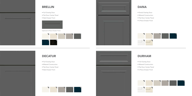## DECATUR



#### BRELLIN

- Full Overlay Door
- Mitered Construction
- Flat Door Center Panel
- Slab Drawer Front
- Full Overlay Door
- Flat Door Center Panel
- Slab Drawer Front



Optional 5-Piece Drawer Front









## DURHAM

- Full Overlay Door
- Mitered Construction
- Flat Door Center Panel
- 5-Piece Drawer Front



## DANA

- Partial Overlay Door
- Mitered Construction
- Flat Door Center Panel
- 5-Piece Drawer Front

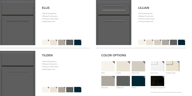

#### ELLIS

- Partial Overlay Door
- Mitered Construction
- Flat Door Center Panel
- Slab Drawer Front

## COLOR OPTIONS



Toasted Colada

\*Face frames will be comprised of Sarsaparilla stained hardwood.



1  $2$  4 5

6





#### TILDEN



- Partial Overlay Door
- Mitered Construction
- Flat Door Center Panel
- Slab Drawer Front

## LILLIAN

- Partial Overlay Door
- Mitered Construction
- Flat Door Center Panel
- 5-Piece Drawer Front